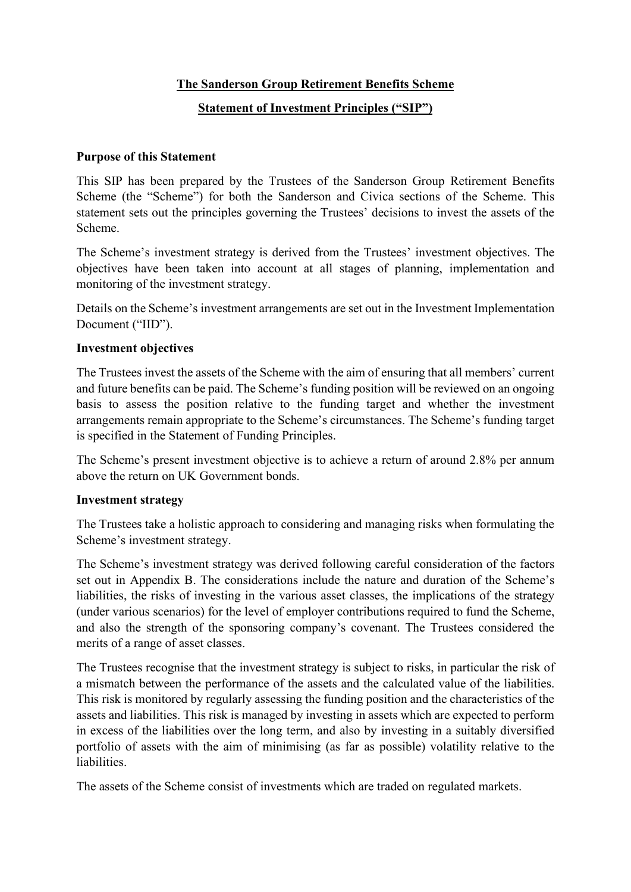## **The Sanderson Group Retirement Benefits Scheme**

## **Statement of Investment Principles ("SIP")**

#### **Purpose of this Statement**

This SIP has been prepared by the Trustees of the Sanderson Group Retirement Benefits Scheme (the "Scheme") for both the Sanderson and Civica sections of the Scheme. This statement sets out the principles governing the Trustees' decisions to invest the assets of the Scheme.

The Scheme's investment strategy is derived from the Trustees' investment objectives. The objectives have been taken into account at all stages of planning, implementation and monitoring of the investment strategy.

Details on the Scheme's investment arrangements are set out in the Investment Implementation Document ("IID").

#### **Investment objectives**

The Trustees invest the assets of the Scheme with the aim of ensuring that all members' current and future benefits can be paid. The Scheme's funding position will be reviewed on an ongoing basis to assess the position relative to the funding target and whether the investment arrangements remain appropriate to the Scheme's circumstances. The Scheme's funding target is specified in the Statement of Funding Principles.

The Scheme's present investment objective is to achieve a return of around 2.8% per annum above the return on UK Government bonds.

#### **Investment strategy**

The Trustees take a holistic approach to considering and managing risks when formulating the Scheme's investment strategy.

The Scheme's investment strategy was derived following careful consideration of the factors set out in Appendix B. The considerations include the nature and duration of the Scheme's liabilities, the risks of investing in the various asset classes, the implications of the strategy (under various scenarios) for the level of employer contributions required to fund the Scheme, and also the strength of the sponsoring company's covenant. The Trustees considered the merits of a range of asset classes.

The Trustees recognise that the investment strategy is subject to risks, in particular the risk of a mismatch between the performance of the assets and the calculated value of the liabilities. This risk is monitored by regularly assessing the funding position and the characteristics of the assets and liabilities. This risk is managed by investing in assets which are expected to perform in excess of the liabilities over the long term, and also by investing in a suitably diversified portfolio of assets with the aim of minimising (as far as possible) volatility relative to the liabilities.

The assets of the Scheme consist of investments which are traded on regulated markets.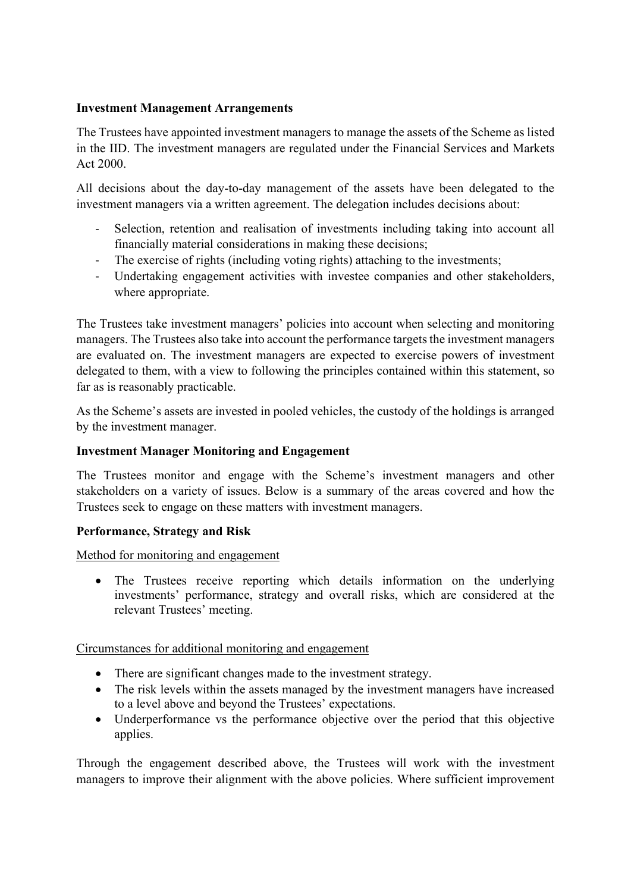#### **Investment Management Arrangements**

The Trustees have appointed investment managers to manage the assets of the Scheme as listed in the IID. The investment managers are regulated under the Financial Services and Markets Act 2000.

All decisions about the day-to-day management of the assets have been delegated to the investment managers via a written agreement. The delegation includes decisions about:

- Selection, retention and realisation of investments including taking into account all financially material considerations in making these decisions;
- The exercise of rights (including voting rights) attaching to the investments;
- Undertaking engagement activities with investee companies and other stakeholders, where appropriate.

The Trustees take investment managers' policies into account when selecting and monitoring managers. The Trustees also take into account the performance targets the investment managers are evaluated on. The investment managers are expected to exercise powers of investment delegated to them, with a view to following the principles contained within this statement, so far as is reasonably practicable.

As the Scheme's assets are invested in pooled vehicles, the custody of the holdings is arranged by the investment manager.

## **Investment Manager Monitoring and Engagement**

The Trustees monitor and engage with the Scheme's investment managers and other stakeholders on a variety of issues. Below is a summary of the areas covered and how the Trustees seek to engage on these matters with investment managers.

#### **Performance, Strategy and Risk**

Method for monitoring and engagement

• The Trustees receive reporting which details information on the underlying investments' performance, strategy and overall risks, which are considered at the relevant Trustees' meeting.

Circumstances for additional monitoring and engagement

- There are significant changes made to the investment strategy.
- The risk levels within the assets managed by the investment managers have increased to a level above and beyond the Trustees' expectations.
- Underperformance vs the performance objective over the period that this objective applies.

Through the engagement described above, the Trustees will work with the investment managers to improve their alignment with the above policies. Where sufficient improvement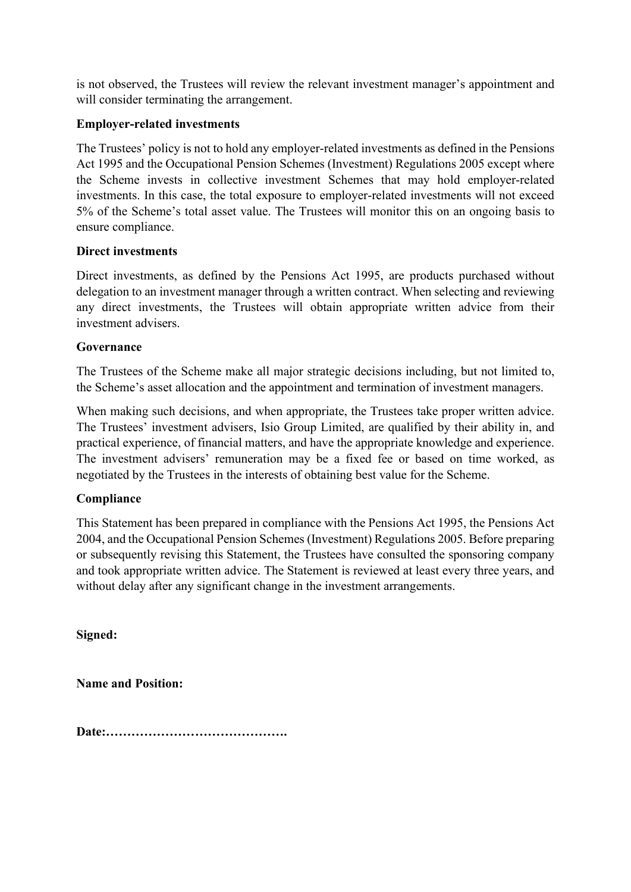is not observed, the Trustees will review the relevant investment manager's appointment and will consider terminating the arrangement.

## **Employer-related investments**

The Trustees' policy is not to hold any employer-related investments as defined in the Pensions Act 1995 and the Occupational Pension Schemes (Investment) Regulations 2005 except where the Scheme invests in collective investment Schemes that may hold employer-related investments. In this case, the total exposure to employer-related investments will not exceed 5% of the Scheme's total asset value. The Trustees will monitor this on an ongoing basis to ensure compliance.

## **Direct investments**

Direct investments, as defined by the Pensions Act 1995, are products purchased without delegation to an investment manager through a written contract. When selecting and reviewing any direct investments, the Trustees will obtain appropriate written advice from their investment advisers.

## **Governance**

The Trustees of the Scheme make all major strategic decisions including, but not limited to, the Scheme's asset allocation and the appointment and termination of investment managers.

When making such decisions, and when appropriate, the Trustees take proper written advice. The Trustees' investment advisers, Isio Group Limited, are qualified by their ability in, and practical experience, of financial matters, and have the appropriate knowledge and experience. The investment advisers' remuneration may be a fixed fee or based on time worked, as negotiated by the Trustees in the interests of obtaining best value for the Scheme.

## **Compliance**

This Statement has been prepared in compliance with the Pensions Act 1995, the Pensions Act 2004, and the Occupational Pension Schemes (Investment) Regulations 2005. Before preparing or subsequently revising this Statement, the Trustees have consulted the sponsoring company and took appropriate written advice. The Statement is reviewed at least every three years, and without delay after any significant change in the investment arrangements.

**Signed:**

**Name and Position:**

**Date:…………………………………….**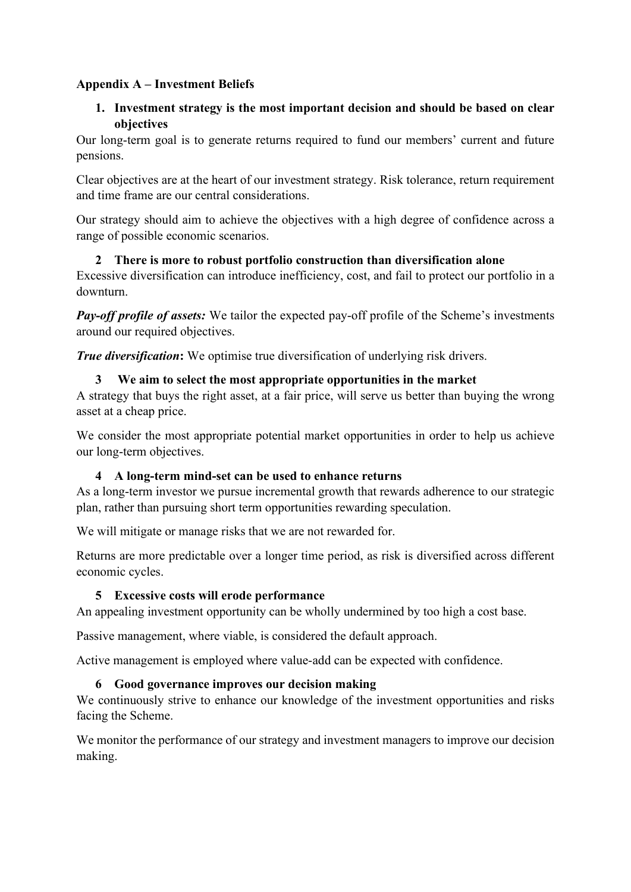## **Appendix A – Investment Beliefs**

## **1. Investment strategy is the most important decision and should be based on clear objectives**

Our long-term goal is to generate returns required to fund our members' current and future pensions.

Clear objectives are at the heart of our investment strategy. Risk tolerance, return requirement and time frame are our central considerations.

Our strategy should aim to achieve the objectives with a high degree of confidence across a range of possible economic scenarios.

## **2 There is more to robust portfolio construction than diversification alone**

Excessive diversification can introduce inefficiency, cost, and fail to protect our portfolio in a downturn.

*Pay-off profile of assets:* We tailor the expected pay-off profile of the Scheme's investments around our required objectives.

*True diversification***:** We optimise true diversification of underlying risk drivers.

## **3 We aim to select the most appropriate opportunities in the market**

A strategy that buys the right asset, at a fair price, will serve us better than buying the wrong asset at a cheap price.

We consider the most appropriate potential market opportunities in order to help us achieve our long-term objectives.

## **4 A long-term mind-set can be used to enhance returns**

As a long-term investor we pursue incremental growth that rewards adherence to our strategic plan, rather than pursuing short term opportunities rewarding speculation.

We will mitigate or manage risks that we are not rewarded for.

Returns are more predictable over a longer time period, as risk is diversified across different economic cycles.

## **5 Excessive costs will erode performance**

An appealing investment opportunity can be wholly undermined by too high a cost base.

Passive management, where viable, is considered the default approach.

Active management is employed where value-add can be expected with confidence.

## **6 Good governance improves our decision making**

We continuously strive to enhance our knowledge of the investment opportunities and risks facing the Scheme.

We monitor the performance of our strategy and investment managers to improve our decision making.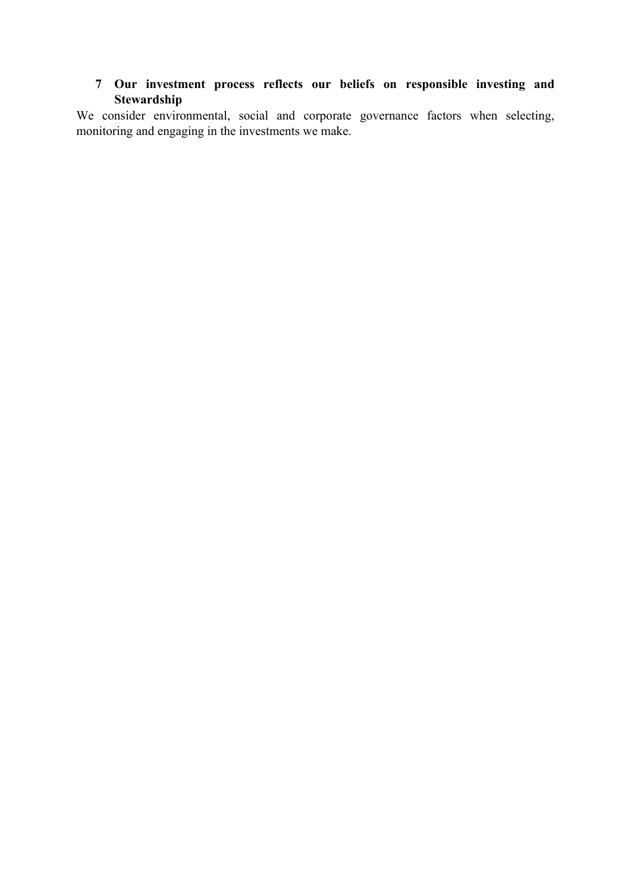# **7 Our investment process reflects our beliefs on responsible investing and Stewardship**

We consider environmental, social and corporate governance factors when selecting, monitoring and engaging in the investments we make.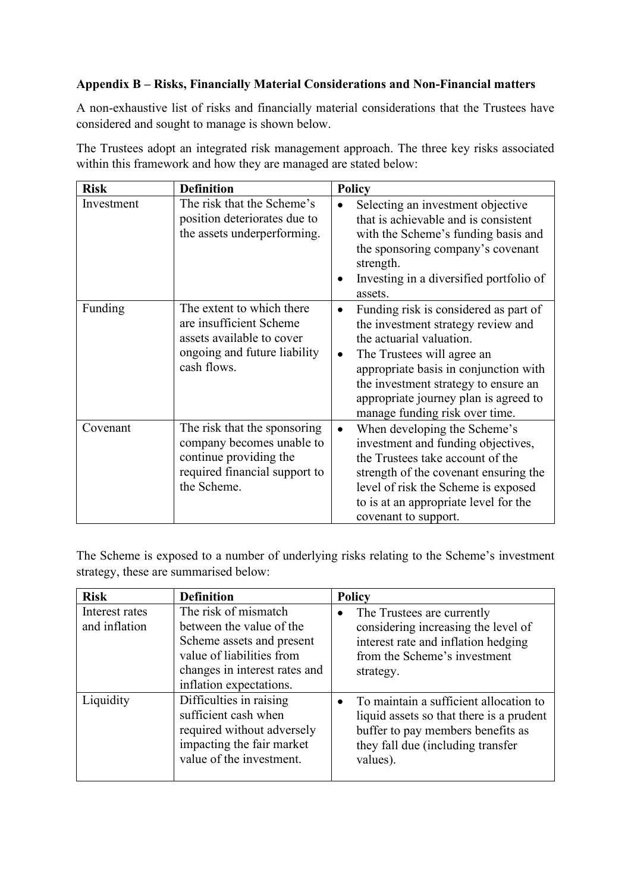## **Appendix B – Risks, Financially Material Considerations and Non-Financial matters**

A non-exhaustive list of risks and financially material considerations that the Trustees have considered and sought to manage is shown below.

The Trustees adopt an integrated risk management approach. The three key risks associated within this framework and how they are managed are stated below:

| <b>Risk</b> | <b>Definition</b>                                                                                                                   | <b>Policy</b>                                                                                                                                                                                                                                                                                                               |
|-------------|-------------------------------------------------------------------------------------------------------------------------------------|-----------------------------------------------------------------------------------------------------------------------------------------------------------------------------------------------------------------------------------------------------------------------------------------------------------------------------|
| Investment  | The risk that the Scheme's<br>position deteriorates due to<br>the assets underperforming.                                           | Selecting an investment objective<br>$\bullet$<br>that is achievable and is consistent<br>with the Scheme's funding basis and<br>the sponsoring company's covenant<br>strength.<br>Investing in a diversified portfolio of<br>assets.                                                                                       |
| Funding     | The extent to which there<br>are insufficient Scheme<br>assets available to cover<br>ongoing and future liability<br>cash flows.    | Funding risk is considered as part of<br>$\bullet$<br>the investment strategy review and<br>the actuarial valuation.<br>The Trustees will agree an<br>$\bullet$<br>appropriate basis in conjunction with<br>the investment strategy to ensure an<br>appropriate journey plan is agreed to<br>manage funding risk over time. |
| Covenant    | The risk that the sponsoring<br>company becomes unable to<br>continue providing the<br>required financial support to<br>the Scheme. | When developing the Scheme's<br>$\bullet$<br>investment and funding objectives,<br>the Trustees take account of the<br>strength of the covenant ensuring the<br>level of risk the Scheme is exposed<br>to is at an appropriate level for the<br>covenant to support.                                                        |

The Scheme is exposed to a number of underlying risks relating to the Scheme's investment strategy, these are summarised below:

| <b>Risk</b>                     | <b>Definition</b>                                                                                                                                                      | <b>Policy</b>                                                                                                                                                            |
|---------------------------------|------------------------------------------------------------------------------------------------------------------------------------------------------------------------|--------------------------------------------------------------------------------------------------------------------------------------------------------------------------|
| Interest rates<br>and inflation | The risk of mismatch<br>between the value of the<br>Scheme assets and present<br>value of liabilities from<br>changes in interest rates and<br>inflation expectations. | The Trustees are currently<br>$\bullet$<br>considering increasing the level of<br>interest rate and inflation hedging<br>from the Scheme's investment<br>strategy.       |
| Liquidity                       | Difficulties in raising<br>sufficient cash when<br>required without adversely<br>impacting the fair market<br>value of the investment.                                 | To maintain a sufficient allocation to<br>liquid assets so that there is a prudent<br>buffer to pay members benefits as<br>they fall due (including transfer<br>values). |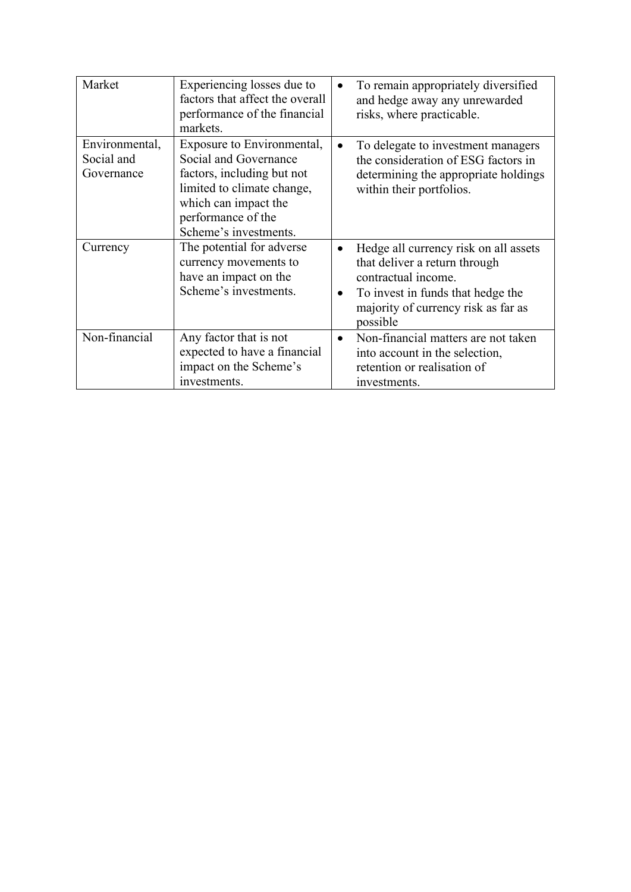| Market                                     | Experiencing losses due to<br>factors that affect the overall<br>performance of the financial<br>markets.                                                                              | $\bullet$              | To remain appropriately diversified<br>and hedge away any unrewarded<br>risks, where practicable.                                                                                     |
|--------------------------------------------|----------------------------------------------------------------------------------------------------------------------------------------------------------------------------------------|------------------------|---------------------------------------------------------------------------------------------------------------------------------------------------------------------------------------|
| Environmental,<br>Social and<br>Governance | Exposure to Environmental,<br>Social and Governance<br>factors, including but not<br>limited to climate change,<br>which can impact the<br>performance of the<br>Scheme's investments. | $\bullet$              | To delegate to investment managers<br>the consideration of ESG factors in<br>determining the appropriate holdings<br>within their portfolios.                                         |
| Currency                                   | The potential for adverse<br>currency movements to<br>have an impact on the<br>Scheme's investments.                                                                                   | $\bullet$<br>$\bullet$ | Hedge all currency risk on all assets<br>that deliver a return through<br>contractual income.<br>To invest in funds that hedge the<br>majority of currency risk as far as<br>possible |
| Non-financial                              | Any factor that is not<br>expected to have a financial<br>impact on the Scheme's<br>investments.                                                                                       | $\bullet$              | Non-financial matters are not taken<br>into account in the selection,<br>retention or realisation of<br>investments.                                                                  |